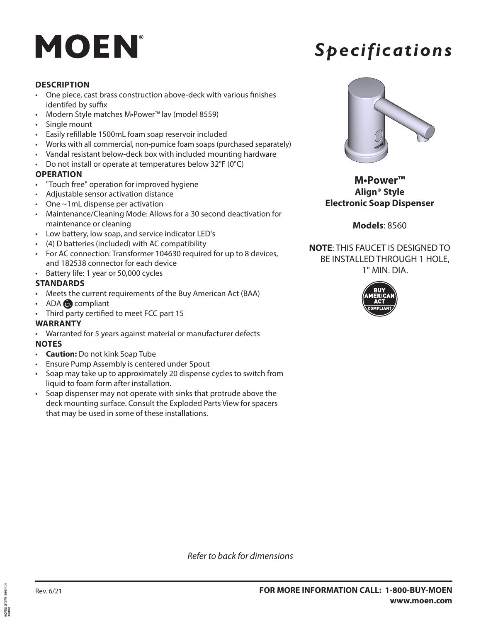## MOEN

### *Specifications*

#### **DESCRIPTION**

- One piece, cast brass construction above-deck with various finishes identifed by suffix
- Modern Style matches M•Power™ lav (model 8559)
- Single mount
- Easily refillable 1500mL foam soap reservoir included
- Works with all commercial, non-pumice foam soaps (purchased separately)
- Vandal resistant below-deck box with included mounting hardware
- Do not install or operate at temperatures below 32°F (0°C)

#### **OPERATION**

- "Touch free" operation for improved hygiene
- Adjustable sensor activation distance
- One ~1mL dispense per activation
- Maintenance/Cleaning Mode: Allows for a 30 second deactivation for maintenance or cleaning
- Low battery, low soap, and service indicator LED's
- (4) D batteries (included) with AC compatibility
- For AC connection: Transformer 104630 required for up to 8 devices, and 182538 connector for each device
- Battery life: 1 year or 50,000 cycles

#### **STANDARDS**

- Meets the current requirements of the Buy American Act (BAA)
- ADA **compliant**
- Third party certified to meet FCC part 15

#### **WARRANTY**

- Warranted for 5 years against material or manufacturer defects **NOTES**
- **Caution:** Do not kink Soap Tube
- Ensure Pump Assembly is centered under Spout
- Soap may take up to approximately 20 dispense cycles to switch from liquid to foam form after installation.
- Soap dispenser may not operate with sinks that protrude above the deck mounting surface. Consult the Exploded Parts View for spacers that may be used in some of these installations.



**M•Power™ Align® Style Electronic Soap Dispenser**

#### **Models**: 8560

**NOTE**: THIS FAUCET IS DESIGNED TO BE INSTALLED THROUGH 1 HOLE, 1" MIN. DIA.



*Refer to back for dimensions*

6734701<br>2 kasti 01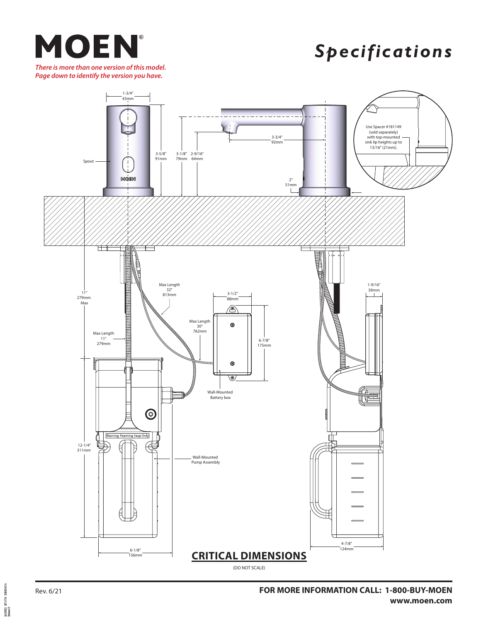

*Specifications*

*There is more than one version of this model. Page down to identify the version you have.*



06242021 SPC14758 SOD00348156<br>Released 01